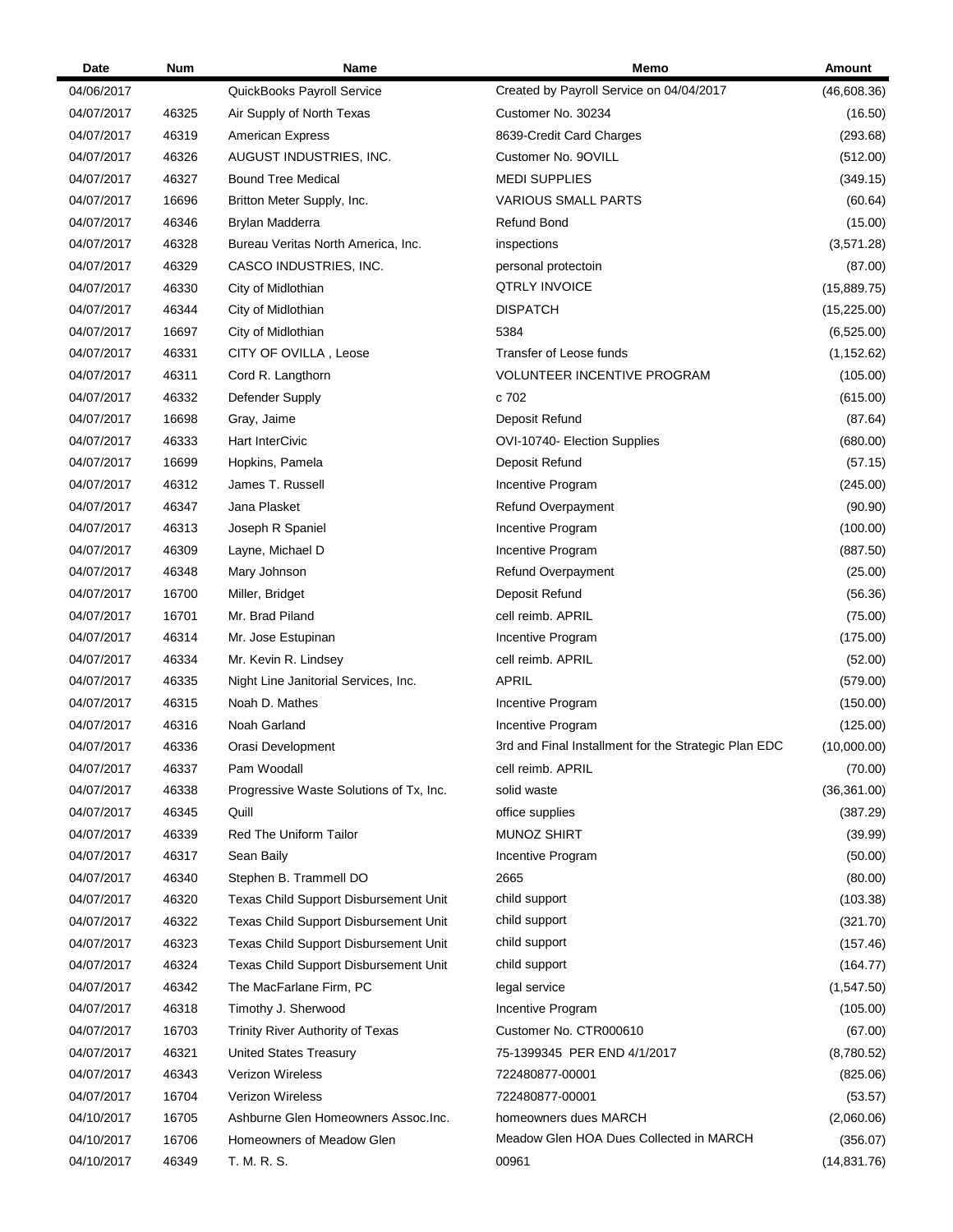| Date       | Num   | Name                                    | Memo                                                 | Amount       |
|------------|-------|-----------------------------------------|------------------------------------------------------|--------------|
| 04/06/2017 |       | QuickBooks Payroll Service              | Created by Payroll Service on 04/04/2017             | (46,608.36)  |
| 04/07/2017 | 46325 | Air Supply of North Texas               | Customer No. 30234                                   | (16.50)      |
| 04/07/2017 | 46319 | <b>American Express</b>                 | 8639-Credit Card Charges                             | (293.68)     |
| 04/07/2017 | 46326 | AUGUST INDUSTRIES, INC.                 | Customer No. 9OVILL                                  | (512.00)     |
| 04/07/2017 | 46327 | <b>Bound Tree Medical</b>               | <b>MEDI SUPPLIES</b>                                 | (349.15)     |
| 04/07/2017 | 16696 | Britton Meter Supply, Inc.              | <b>VARIOUS SMALL PARTS</b>                           | (60.64)      |
| 04/07/2017 | 46346 | Brylan Madderra                         | Refund Bond                                          | (15.00)      |
| 04/07/2017 | 46328 | Bureau Veritas North America, Inc.      | inspections                                          | (3,571.28)   |
| 04/07/2017 | 46329 | CASCO INDUSTRIES, INC.                  | personal protectoin                                  | (87.00)      |
| 04/07/2017 | 46330 | City of Midlothian                      | QTRLY INVOICE                                        | (15,889.75)  |
| 04/07/2017 | 46344 | City of Midlothian                      | DISPATCH                                             | (15, 225.00) |
| 04/07/2017 | 16697 | City of Midlothian                      | 5384                                                 | (6,525.00)   |
| 04/07/2017 | 46331 | CITY OF OVILLA, Leose                   | Transfer of Leose funds                              | (1, 152.62)  |
| 04/07/2017 | 46311 | Cord R. Langthorn                       | VOLUNTEER INCENTIVE PROGRAM                          | (105.00)     |
| 04/07/2017 | 46332 | Defender Supply                         | c 702                                                | (615.00)     |
| 04/07/2017 | 16698 | Gray, Jaime                             | Deposit Refund                                       | (87.64)      |
| 04/07/2017 | 46333 | Hart InterCivic                         | OVI-10740- Election Supplies                         | (680.00)     |
| 04/07/2017 | 16699 | Hopkins, Pamela                         | Deposit Refund                                       | (57.15)      |
| 04/07/2017 | 46312 | James T. Russell                        | Incentive Program                                    | (245.00)     |
| 04/07/2017 | 46347 | Jana Plasket                            | Refund Overpayment                                   | (90.90)      |
| 04/07/2017 | 46313 | Joseph R Spaniel                        | Incentive Program                                    | (100.00)     |
| 04/07/2017 | 46309 | Layne, Michael D                        | Incentive Program                                    | (887.50)     |
| 04/07/2017 | 46348 | Mary Johnson                            | Refund Overpayment                                   | (25.00)      |
| 04/07/2017 | 16700 | Miller, Bridget                         | Deposit Refund                                       | (56.36)      |
| 04/07/2017 | 16701 | Mr. Brad Piland                         | cell reimb. APRIL                                    | (75.00)      |
| 04/07/2017 | 46314 | Mr. Jose Estupinan                      | Incentive Program                                    | (175.00)     |
| 04/07/2017 | 46334 | Mr. Kevin R. Lindsey                    | cell reimb. APRIL                                    | (52.00)      |
| 04/07/2017 | 46335 | Night Line Janitorial Services, Inc.    | <b>APRIL</b>                                         | (579.00)     |
| 04/07/2017 | 46315 | Noah D. Mathes                          | Incentive Program                                    | (150.00)     |
| 04/07/2017 | 46316 | Noah Garland                            | Incentive Program                                    | (125.00)     |
| 04/07/2017 | 46336 | Orasi Development                       | 3rd and Final Installment for the Strategic Plan EDC | (10,000.00)  |
| 04/07/2017 | 46337 | Pam Woodall                             | cell reimb. APRIL                                    | (70.00)      |
| 04/07/2017 | 46338 | Progressive Waste Solutions of Tx, Inc. | solid waste                                          | (36, 361.00) |
| 04/07/2017 | 46345 | Quill                                   | office supplies                                      | (387.29)     |
| 04/07/2017 | 46339 | <b>Red The Uniform Tailor</b>           | <b>MUNOZ SHIRT</b>                                   | (39.99)      |
| 04/07/2017 | 46317 | Sean Baily                              | Incentive Program                                    | (50.00)      |
| 04/07/2017 | 46340 | Stephen B. Trammell DO                  | 2665                                                 | (80.00)      |
| 04/07/2017 | 46320 | Texas Child Support Disbursement Unit   | child support                                        | (103.38)     |
| 04/07/2017 | 46322 | Texas Child Support Disbursement Unit   | child support                                        | (321.70)     |
| 04/07/2017 | 46323 | Texas Child Support Disbursement Unit   | child support                                        | (157.46)     |
| 04/07/2017 | 46324 | Texas Child Support Disbursement Unit   | child support                                        | (164.77)     |
| 04/07/2017 | 46342 | The MacFarlane Firm, PC                 | legal service                                        | (1, 547.50)  |
| 04/07/2017 | 46318 | Timothy J. Sherwood                     | Incentive Program                                    | (105.00)     |
| 04/07/2017 | 16703 | Trinity River Authority of Texas        | Customer No. CTR000610                               | (67.00)      |
| 04/07/2017 | 46321 | <b>United States Treasury</b>           | 75-1399345 PER END 4/1/2017                          | (8,780.52)   |
| 04/07/2017 | 46343 | <b>Verizon Wireless</b>                 | 722480877-00001                                      | (825.06)     |
| 04/07/2017 | 16704 | <b>Verizon Wireless</b>                 | 722480877-00001                                      | (53.57)      |
| 04/10/2017 | 16705 | Ashburne Glen Homeowners Assoc.Inc.     | homeowners dues MARCH                                | (2,060.06)   |
| 04/10/2017 | 16706 | Homeowners of Meadow Glen               | Meadow Glen HOA Dues Collected in MARCH              | (356.07)     |
| 04/10/2017 | 46349 | T. M. R. S.                             | 00961                                                | (14, 831.76) |
|            |       |                                         |                                                      |              |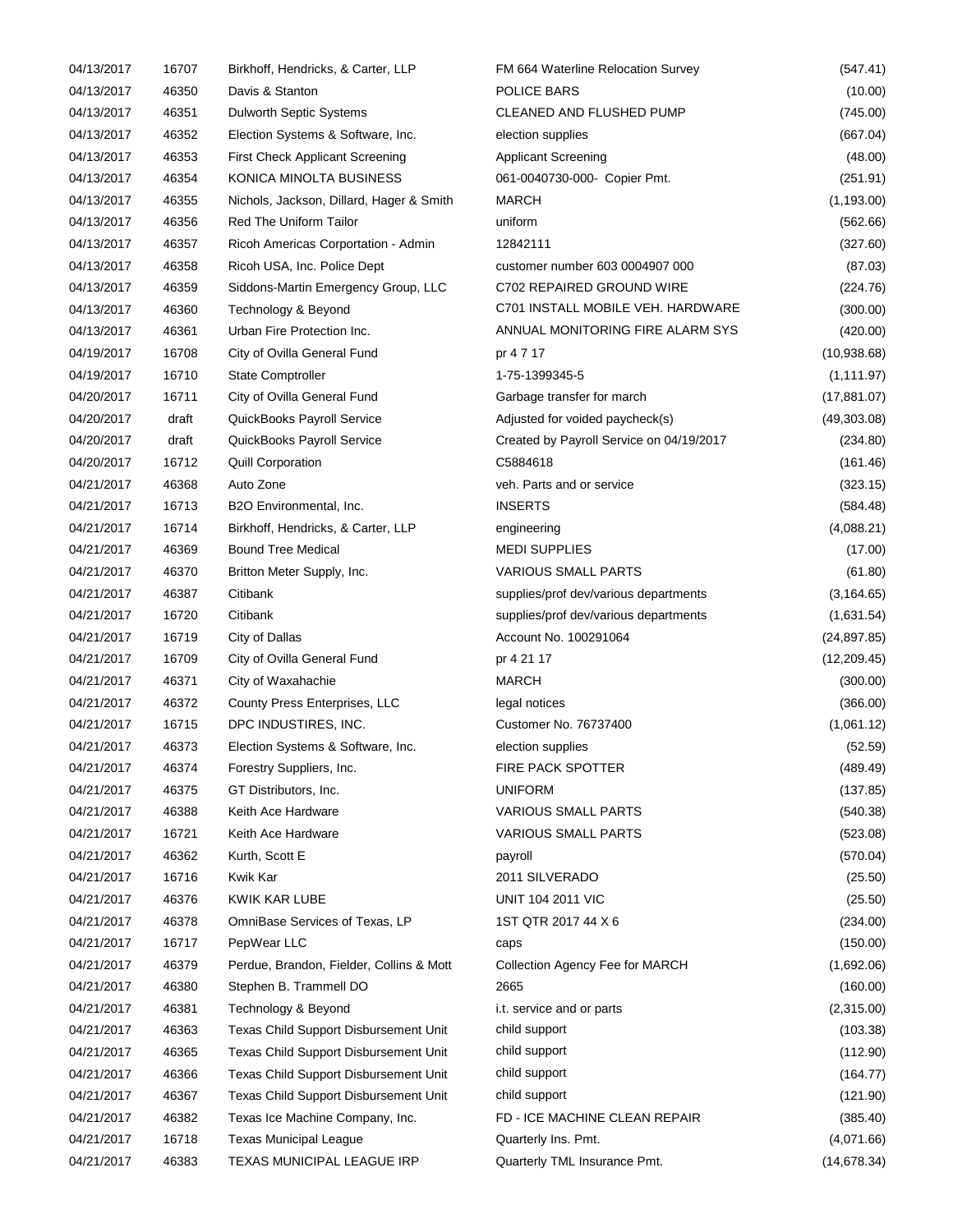| 04/13/2017               | 16707          | Birkhoff, Hendricks, & Carter, LLP                                             | FM 664 Waterline Relocation Survey       | (547.41)             |
|--------------------------|----------------|--------------------------------------------------------------------------------|------------------------------------------|----------------------|
| 04/13/2017               | 46350          | Davis & Stanton                                                                | POLICE BARS                              | (10.00)              |
| 04/13/2017               | 46351          | <b>Dulworth Septic Systems</b>                                                 | CLEANED AND FLUSHED PUMP                 | (745.00)             |
| 04/13/2017               | 46352          | Election Systems & Software, Inc.                                              | election supplies                        | (667.04)             |
| 04/13/2017               | 46353          | <b>First Check Applicant Screening</b>                                         | <b>Applicant Screening</b>               | (48.00)              |
| 04/13/2017               | 46354          | KONICA MINOLTA BUSINESS                                                        | 061-0040730-000- Copier Pmt.             | (251.91)             |
| 04/13/2017               | 46355          | Nichols, Jackson, Dillard, Hager & Smith                                       | <b>MARCH</b>                             | (1, 193.00)          |
| 04/13/2017               | 46356          | <b>Red The Uniform Tailor</b>                                                  | uniform                                  | (562.66)             |
| 04/13/2017               | 46357          | Ricoh Americas Corportation - Admin                                            | 12842111                                 | (327.60)             |
| 04/13/2017               | 46358          | Ricoh USA, Inc. Police Dept                                                    | customer number 603 0004907 000          | (87.03)              |
| 04/13/2017               | 46359          | Siddons-Martin Emergency Group, LLC                                            | C702 REPAIRED GROUND WIRE                | (224.76)             |
| 04/13/2017               | 46360          | Technology & Beyond                                                            | C701 INSTALL MOBILE VEH. HARDWARE        | (300.00)             |
| 04/13/2017               | 46361          | Urban Fire Protection Inc.                                                     | ANNUAL MONITORING FIRE ALARM SYS         | (420.00)             |
| 04/19/2017               | 16708          | City of Ovilla General Fund                                                    | pr 4 7 17                                | (10,938.68)          |
| 04/19/2017               | 16710          | State Comptroller                                                              | 1-75-1399345-5                           | (1, 111.97)          |
| 04/20/2017               | 16711          | City of Ovilla General Fund                                                    | Garbage transfer for march               | (17, 881.07)         |
| 04/20/2017               | draft          | QuickBooks Payroll Service                                                     | Adjusted for voided paycheck(s)          | (49,303.08)          |
| 04/20/2017               | draft          | QuickBooks Payroll Service                                                     | Created by Payroll Service on 04/19/2017 | (234.80)             |
| 04/20/2017               | 16712          | <b>Quill Corporation</b>                                                       | C5884618                                 | (161.46)             |
| 04/21/2017               | 46368          | Auto Zone                                                                      | veh. Parts and or service                | (323.15)             |
| 04/21/2017               | 16713          | B2O Environmental, Inc.                                                        | <b>INSERTS</b>                           | (584.48)             |
| 04/21/2017               | 16714          | Birkhoff, Hendricks, & Carter, LLP                                             | engineering                              | (4,088.21)           |
| 04/21/2017               | 46369          | <b>Bound Tree Medical</b>                                                      | <b>MEDI SUPPLIES</b>                     | (17.00)              |
| 04/21/2017               | 46370          | Britton Meter Supply, Inc.                                                     | <b>VARIOUS SMALL PARTS</b>               | (61.80)              |
| 04/21/2017               | 46387          | Citibank                                                                       | supplies/prof dev/various departments    | (3, 164.65)          |
| 04/21/2017               | 16720          | Citibank                                                                       | supplies/prof dev/various departments    | (1,631.54)           |
| 04/21/2017               | 16719          | City of Dallas                                                                 | Account No. 100291064                    | (24, 897.85)         |
| 04/21/2017               | 16709          | City of Ovilla General Fund                                                    | pr 4 21 17                               | (12, 209.45)         |
| 04/21/2017               | 46371          | City of Waxahachie                                                             | <b>MARCH</b>                             | (300.00)             |
| 04/21/2017               | 46372          | County Press Enterprises, LLC                                                  | legal notices                            | (366.00)             |
| 04/21/2017               | 16715          | DPC INDUSTIRES, INC.                                                           | Customer No. 76737400                    | (1,061.12)           |
| 04/21/2017               | 46373          | Election Systems & Software, Inc.                                              | election supplies                        | (52.59)              |
| 04/21/2017               | 46374          | Forestry Suppliers, Inc.                                                       | FIRE PACK SPOTTER                        | (489.49)             |
| 04/21/2017               | 46375          | GT Distributors, Inc.                                                          | <b>UNIFORM</b>                           | (137.85)             |
| 04/21/2017               | 46388          | Keith Ace Hardware                                                             | <b>VARIOUS SMALL PARTS</b>               | (540.38)             |
| 04/21/2017               | 16721          | Keith Ace Hardware                                                             | <b>VARIOUS SMALL PARTS</b>               | (523.08)             |
| 04/21/2017               | 46362          | Kurth, Scott E                                                                 | payroll                                  | (570.04)             |
| 04/21/2017               | 16716          | Kwik Kar                                                                       | 2011 SILVERADO                           | (25.50)              |
| 04/21/2017               | 46376          | KWIK KAR LUBE                                                                  | <b>UNIT 104 2011 VIC</b>                 | (25.50)              |
| 04/21/2017               | 46378          | OmniBase Services of Texas, LP                                                 | 1ST QTR 2017 44 X 6                      | (234.00)             |
| 04/21/2017               | 16717          | PepWear LLC                                                                    | caps                                     | (150.00)             |
| 04/21/2017               | 46379          | Perdue, Brandon, Fielder, Collins & Mott                                       | Collection Agency Fee for MARCH          | (1,692.06)           |
| 04/21/2017               | 46380          | Stephen B. Trammell DO                                                         | 2665                                     | (160.00)             |
| 04/21/2017               | 46381          | Technology & Beyond                                                            | i.t. service and or parts                | (2,315.00)           |
| 04/21/2017               | 46363          | Texas Child Support Disbursement Unit                                          | child support                            | (103.38)             |
|                          |                |                                                                                | child support                            |                      |
| 04/21/2017<br>04/21/2017 | 46365<br>46366 | Texas Child Support Disbursement Unit<br>Texas Child Support Disbursement Unit | child support                            | (112.90)<br>(164.77) |
| 04/21/2017               | 46367          | Texas Child Support Disbursement Unit                                          | child support                            | (121.90)             |
|                          | 46382          |                                                                                | FD - ICE MACHINE CLEAN REPAIR            |                      |
| 04/21/2017               | 16718          | Texas Ice Machine Company, Inc.                                                |                                          | (385.40)             |
| 04/21/2017<br>04/21/2017 |                | <b>Texas Municipal League</b>                                                  | Quarterly Ins. Pmt.                      | (4,071.66)           |
|                          | 46383          | TEXAS MUNICIPAL LEAGUE IRP                                                     | Quarterly TML Insurance Pmt.             | (14, 678.34)         |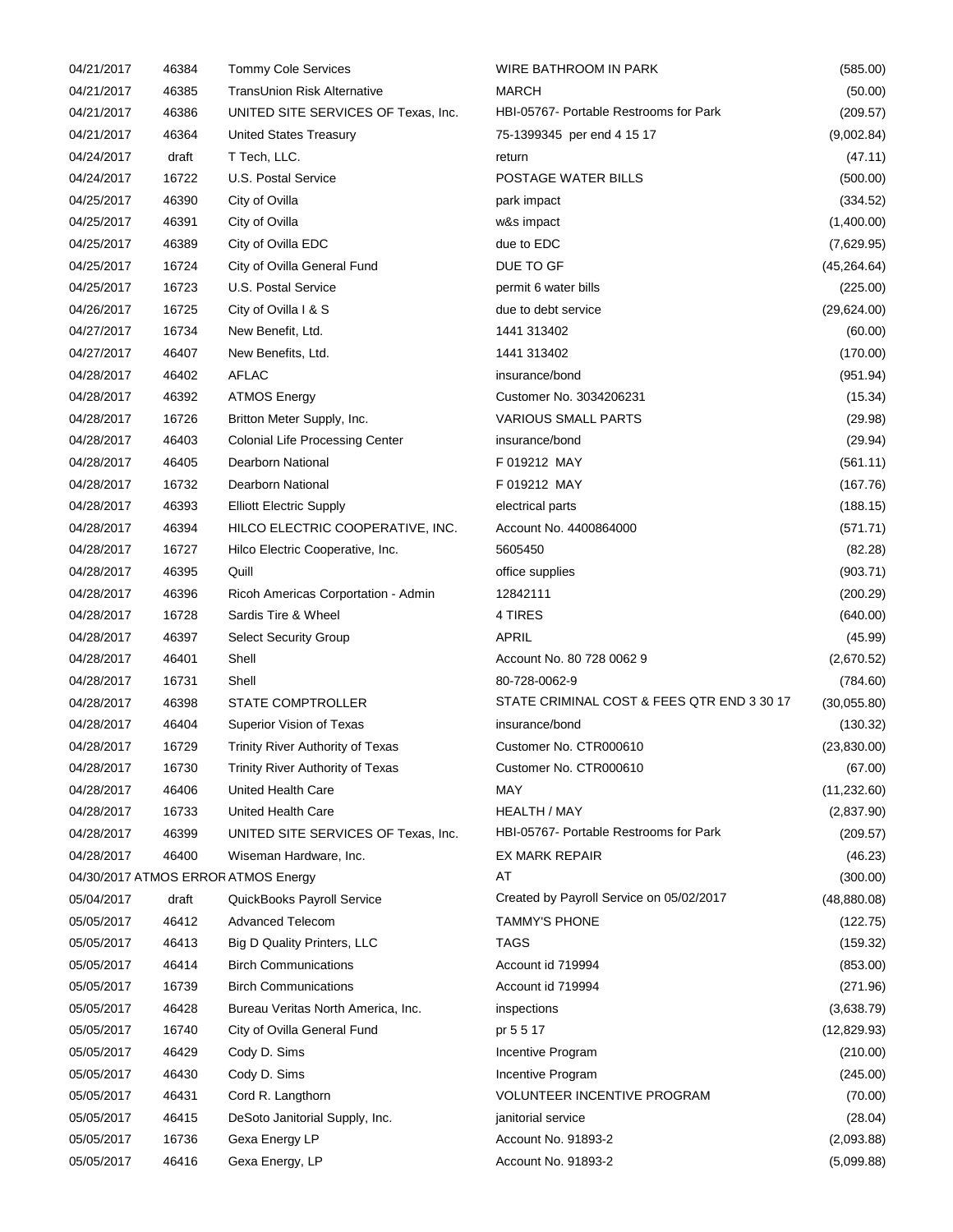| 04/21/2017 | 46384 | <b>Tommy Cole Services</b>             | WIRE BATHROOM IN PARK                      | (585.00)     |
|------------|-------|----------------------------------------|--------------------------------------------|--------------|
| 04/21/2017 | 46385 | TransUnion Risk Alternative            | <b>MARCH</b>                               | (50.00)      |
| 04/21/2017 | 46386 | UNITED SITE SERVICES OF Texas, Inc.    | HBI-05767- Portable Restrooms for Park     | (209.57)     |
| 04/21/2017 | 46364 | United States Treasury                 | 75-1399345 per end 4 15 17                 | (9,002.84)   |
| 04/24/2017 | draft | T Tech, LLC.                           | return                                     | (47.11)      |
| 04/24/2017 | 16722 | U.S. Postal Service                    | POSTAGE WATER BILLS                        | (500.00)     |
| 04/25/2017 | 46390 | City of Ovilla                         | park impact                                | (334.52)     |
| 04/25/2017 | 46391 | City of Ovilla                         | w&s impact                                 | (1,400.00)   |
| 04/25/2017 | 46389 | City of Ovilla EDC                     | due to EDC                                 | (7,629.95)   |
| 04/25/2017 | 16724 | City of Ovilla General Fund            | DUE TO GF                                  | (45, 264.64) |
| 04/25/2017 | 16723 | U.S. Postal Service                    | permit 6 water bills                       | (225.00)     |
| 04/26/2017 | 16725 | City of Ovilla I & S                   | due to debt service                        | (29,624.00)  |
| 04/27/2017 | 16734 | New Benefit, Ltd.                      | 1441 313402                                | (60.00)      |
| 04/27/2017 | 46407 | New Benefits, Ltd.                     | 1441 313402                                | (170.00)     |
| 04/28/2017 | 46402 | <b>AFLAC</b>                           | insurance/bond                             | (951.94)     |
| 04/28/2017 | 46392 | <b>ATMOS Energy</b>                    | Customer No. 3034206231                    | (15.34)      |
| 04/28/2017 | 16726 | Britton Meter Supply, Inc.             | <b>VARIOUS SMALL PARTS</b>                 | (29.98)      |
| 04/28/2017 | 46403 | <b>Colonial Life Processing Center</b> | insurance/bond                             | (29.94)      |
| 04/28/2017 | 46405 | Dearborn National                      | F 019212 MAY                               | (561.11)     |
| 04/28/2017 | 16732 | Dearborn National                      | F 019212 MAY                               | (167.76)     |
| 04/28/2017 | 46393 | <b>Elliott Electric Supply</b>         | electrical parts                           | (188.15)     |
| 04/28/2017 | 46394 | HILCO ELECTRIC COOPERATIVE, INC.       | Account No. 4400864000                     | (571.71)     |
| 04/28/2017 | 16727 | Hilco Electric Cooperative, Inc.       | 5605450                                    | (82.28)      |
| 04/28/2017 | 46395 | Quill                                  | office supplies                            | (903.71)     |
| 04/28/2017 | 46396 | Ricoh Americas Corportation - Admin    | 12842111                                   | (200.29)     |
| 04/28/2017 | 16728 | Sardis Tire & Wheel                    | 4 TIRES                                    | (640.00)     |
| 04/28/2017 | 46397 | <b>Select Security Group</b>           | APRIL                                      | (45.99)      |
| 04/28/2017 | 46401 | Shell                                  | Account No. 80 728 0062 9                  | (2,670.52)   |
| 04/28/2017 | 16731 | Shell                                  | 80-728-0062-9                              | (784.60)     |
| 04/28/2017 | 46398 | <b>STATE COMPTROLLER</b>               | STATE CRIMINAL COST & FEES QTR END 3 30 17 | (30,055.80)  |
| 04/28/2017 | 46404 | Superior Vision of Texas               | insurance/bond                             | (130.32)     |
| 04/28/2017 | 16729 | Trinity River Authority of Texas       | Customer No. CTR000610                     | (23,830.00)  |
| 04/28/2017 | 16730 | Trinity River Authority of Texas       | Customer No. CTR000610                     | (67.00)      |
| 04/28/2017 | 46406 | United Health Care                     | MAY                                        | (11, 232.60) |
| 04/28/2017 | 16733 | United Health Care                     | <b>HEALTH / MAY</b>                        | (2,837.90)   |
| 04/28/2017 | 46399 | UNITED SITE SERVICES OF Texas, Inc.    | HBI-05767- Portable Restrooms for Park     | (209.57)     |
| 04/28/2017 | 46400 | Wiseman Hardware, Inc.                 | <b>EX MARK REPAIR</b>                      | (46.23)      |
|            |       | 04/30/2017 ATMOS ERROR ATMOS Energy    | AT                                         | (300.00)     |
| 05/04/2017 | draft | QuickBooks Payroll Service             | Created by Payroll Service on 05/02/2017   | (48, 880.08) |
| 05/05/2017 | 46412 | <b>Advanced Telecom</b>                | <b>TAMMY'S PHONE</b>                       | (122.75)     |
| 05/05/2017 | 46413 | Big D Quality Printers, LLC            | <b>TAGS</b>                                | (159.32)     |
| 05/05/2017 | 46414 | <b>Birch Communications</b>            | Account id 719994                          | (853.00)     |
| 05/05/2017 | 16739 | <b>Birch Communications</b>            | Account id 719994                          | (271.96)     |
| 05/05/2017 | 46428 | Bureau Veritas North America, Inc.     | inspections                                | (3,638.79)   |
| 05/05/2017 | 16740 | City of Ovilla General Fund            | pr 5 5 17                                  | (12,829.93)  |
| 05/05/2017 | 46429 | Cody D. Sims                           | Incentive Program                          | (210.00)     |
| 05/05/2017 | 46430 | Cody D. Sims                           | Incentive Program                          | (245.00)     |
| 05/05/2017 | 46431 | Cord R. Langthorn                      | VOLUNTEER INCENTIVE PROGRAM                | (70.00)      |
| 05/05/2017 | 46415 | DeSoto Janitorial Supply, Inc.         | janitorial service                         | (28.04)      |
| 05/05/2017 | 16736 | Gexa Energy LP                         | Account No. 91893-2                        | (2,093.88)   |
| 05/05/2017 |       |                                        |                                            |              |
|            | 46416 | Gexa Energy, LP                        | Account No. 91893-2                        | (5,099.88)   |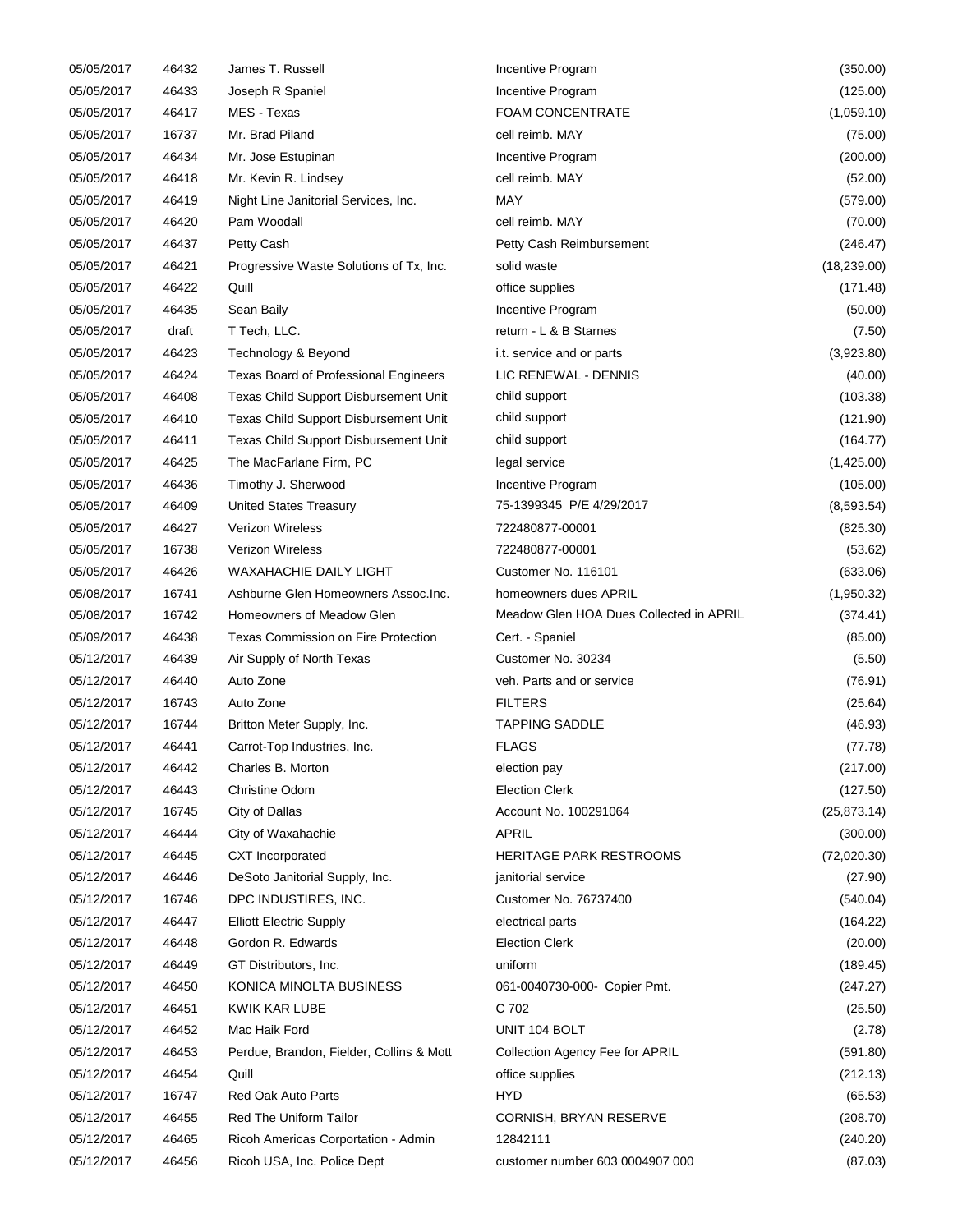| 05/05/2017 | 46432 | James T. Russell                         | Incentive Program                       | (350.00)     |
|------------|-------|------------------------------------------|-----------------------------------------|--------------|
| 05/05/2017 | 46433 | Joseph R Spaniel                         | Incentive Program                       | (125.00)     |
| 05/05/2017 | 46417 | MES - Texas                              | <b>FOAM CONCENTRATE</b>                 | (1,059.10)   |
| 05/05/2017 | 16737 | Mr. Brad Piland                          | cell reimb. MAY                         | (75.00)      |
| 05/05/2017 | 46434 | Mr. Jose Estupinan                       | Incentive Program                       | (200.00)     |
| 05/05/2017 | 46418 | Mr. Kevin R. Lindsey                     | cell reimb. MAY                         | (52.00)      |
| 05/05/2017 | 46419 | Night Line Janitorial Services, Inc.     | MAY                                     | (579.00)     |
| 05/05/2017 | 46420 | Pam Woodall                              | cell reimb. MAY                         | (70.00)      |
| 05/05/2017 | 46437 | Petty Cash                               | Petty Cash Reimbursement                | (246.47)     |
| 05/05/2017 | 46421 | Progressive Waste Solutions of Tx, Inc.  | solid waste                             | (18, 239.00) |
| 05/05/2017 | 46422 | Quill                                    | office supplies                         | (171.48)     |
| 05/05/2017 | 46435 | Sean Baily                               | Incentive Program                       | (50.00)      |
| 05/05/2017 | draft | T Tech, LLC.                             | return - L & B Starnes                  | (7.50)       |
| 05/05/2017 | 46423 | Technology & Beyond                      | i.t. service and or parts               | (3,923.80)   |
| 05/05/2017 | 46424 | Texas Board of Professional Engineers    | LIC RENEWAL - DENNIS                    | (40.00)      |
| 05/05/2017 | 46408 | Texas Child Support Disbursement Unit    | child support                           | (103.38)     |
| 05/05/2017 | 46410 | Texas Child Support Disbursement Unit    | child support                           | (121.90)     |
| 05/05/2017 | 46411 | Texas Child Support Disbursement Unit    | child support                           | (164.77)     |
| 05/05/2017 | 46425 | The MacFarlane Firm, PC                  | legal service                           | (1,425.00)   |
| 05/05/2017 | 46436 | Timothy J. Sherwood                      | Incentive Program                       | (105.00)     |
| 05/05/2017 | 46409 | <b>United States Treasury</b>            | 75-1399345 P/E 4/29/2017                | (8, 593.54)  |
| 05/05/2017 | 46427 | <b>Verizon Wireless</b>                  | 722480877-00001                         | (825.30)     |
| 05/05/2017 | 16738 | <b>Verizon Wireless</b>                  | 722480877-00001                         | (53.62)      |
| 05/05/2017 | 46426 | WAXAHACHIE DAILY LIGHT                   | Customer No. 116101                     | (633.06)     |
| 05/08/2017 | 16741 | Ashburne Glen Homeowners Assoc.Inc.      | homeowners dues APRIL                   | (1,950.32)   |
| 05/08/2017 | 16742 | Homeowners of Meadow Glen                | Meadow Glen HOA Dues Collected in APRIL | (374.41)     |
| 05/09/2017 | 46438 | Texas Commission on Fire Protection      | Cert. - Spaniel                         | (85.00)      |
| 05/12/2017 | 46439 | Air Supply of North Texas                | Customer No. 30234                      | (5.50)       |
| 05/12/2017 | 46440 | Auto Zone                                | veh. Parts and or service               | (76.91)      |
| 05/12/2017 | 16743 | Auto Zone                                | <b>FILTERS</b>                          | (25.64)      |
| 05/12/2017 | 16744 | Britton Meter Supply, Inc.               | <b>TAPPING SADDLE</b>                   | (46.93)      |
| 05/12/2017 | 46441 | Carrot-Top Industries, Inc.              | <b>FLAGS</b>                            | (77.78)      |
| 05/12/2017 | 46442 | Charles B. Morton                        | election pay                            | (217.00)     |
| 05/12/2017 | 46443 | Christine Odom                           | <b>Election Clerk</b>                   | (127.50)     |
| 05/12/2017 | 16745 | City of Dallas                           | Account No. 100291064                   | (25, 873.14) |
| 05/12/2017 | 46444 | City of Waxahachie                       | APRIL                                   | (300.00)     |
| 05/12/2017 | 46445 | CXT Incorporated                         | <b>HERITAGE PARK RESTROOMS</b>          | (72,020.30)  |
| 05/12/2017 | 46446 | DeSoto Janitorial Supply, Inc.           | janitorial service                      | (27.90)      |
| 05/12/2017 | 16746 | DPC INDUSTIRES, INC.                     | Customer No. 76737400                   | (540.04)     |
| 05/12/2017 | 46447 | <b>Elliott Electric Supply</b>           | electrical parts                        | (164.22)     |
| 05/12/2017 | 46448 | Gordon R. Edwards                        | <b>Election Clerk</b>                   | (20.00)      |
| 05/12/2017 | 46449 | GT Distributors, Inc.                    | uniform                                 | (189.45)     |
| 05/12/2017 | 46450 | KONICA MINOLTA BUSINESS                  | 061-0040730-000- Copier Pmt.            | (247.27)     |
| 05/12/2017 | 46451 | KWIK KAR LUBE                            | C 702                                   | (25.50)      |
| 05/12/2017 | 46452 | Mac Haik Ford                            | UNIT 104 BOLT                           | (2.78)       |
| 05/12/2017 | 46453 | Perdue, Brandon, Fielder, Collins & Mott | Collection Agency Fee for APRIL         | (591.80)     |
| 05/12/2017 | 46454 | Quill                                    | office supplies                         | (212.13)     |
| 05/12/2017 | 16747 | <b>Red Oak Auto Parts</b>                | HYD                                     | (65.53)      |
| 05/12/2017 | 46455 | Red The Uniform Tailor                   | CORNISH, BRYAN RESERVE                  | (208.70)     |
| 05/12/2017 | 46465 | Ricoh Americas Corportation - Admin      | 12842111                                | (240.20)     |
| 05/12/2017 | 46456 | Ricoh USA, Inc. Police Dept              | customer number 603 0004907 000         | (87.03)      |
|            |       |                                          |                                         |              |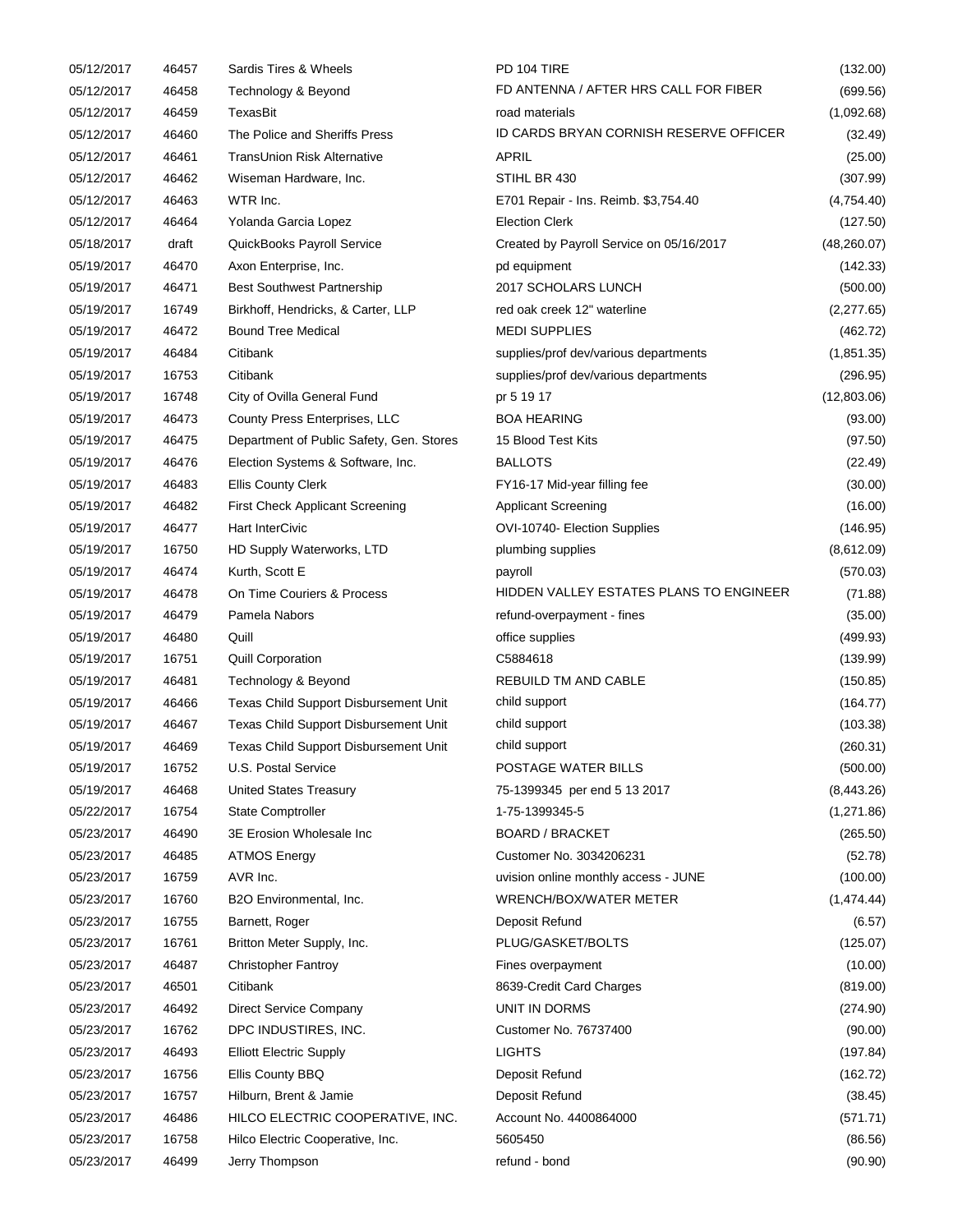| 05/12/2017               | 46457          | Sardis Tires & Wheels                    | PD 104 TIRE                              | (132.00)            |
|--------------------------|----------------|------------------------------------------|------------------------------------------|---------------------|
| 05/12/2017               | 46458          | Technology & Beyond                      | FD ANTENNA / AFTER HRS CALL FOR FIBER    | (699.56)            |
| 05/12/2017               | 46459          | TexasBit                                 | road materials                           | (1,092.68)          |
| 05/12/2017               | 46460          | The Police and Sheriffs Press            | ID CARDS BRYAN CORNISH RESERVE OFFICER   | (32.49)             |
| 05/12/2017               | 46461          | TransUnion Risk Alternative              | <b>APRIL</b>                             | (25.00)             |
| 05/12/2017               | 46462          | Wiseman Hardware, Inc.                   | STIHL BR 430                             | (307.99)            |
| 05/12/2017               | 46463          | WTR Inc.                                 | E701 Repair - Ins. Reimb. \$3,754.40     | (4,754.40)          |
| 05/12/2017               | 46464          | Yolanda Garcia Lopez                     | <b>Election Clerk</b>                    | (127.50)            |
| 05/18/2017               | draft          | QuickBooks Payroll Service               | Created by Payroll Service on 05/16/2017 | (48, 260.07)        |
| 05/19/2017               | 46470          | Axon Enterprise, Inc.                    | pd equipment                             | (142.33)            |
| 05/19/2017               | 46471          | <b>Best Southwest Partnership</b>        | 2017 SCHOLARS LUNCH                      | (500.00)            |
| 05/19/2017               | 16749          | Birkhoff, Hendricks, & Carter, LLP       | red oak creek 12" waterline              | (2, 277.65)         |
| 05/19/2017               | 46472          | <b>Bound Tree Medical</b>                | <b>MEDI SUPPLIES</b>                     | (462.72)            |
| 05/19/2017               | 46484          | Citibank                                 | supplies/prof dev/various departments    | (1,851.35)          |
| 05/19/2017               | 16753          | Citibank                                 | supplies/prof dev/various departments    | (296.95)            |
| 05/19/2017               | 16748          | City of Ovilla General Fund              | pr 5 19 17                               | (12,803.06)         |
| 05/19/2017               | 46473          | County Press Enterprises, LLC            | <b>BOA HEARING</b>                       | (93.00)             |
| 05/19/2017               | 46475          | Department of Public Safety, Gen. Stores | 15 Blood Test Kits                       | (97.50)             |
| 05/19/2017               | 46476          | Election Systems & Software, Inc.        | <b>BALLOTS</b>                           | (22.49)             |
| 05/19/2017               | 46483          | <b>Ellis County Clerk</b>                | FY16-17 Mid-year filling fee             | (30.00)             |
| 05/19/2017               | 46482          | <b>First Check Applicant Screening</b>   | <b>Applicant Screening</b>               | (16.00)             |
| 05/19/2017               | 46477          | Hart InterCivic                          | OVI-10740- Election Supplies             | (146.95)            |
| 05/19/2017               | 16750          | HD Supply Waterworks, LTD                | plumbing supplies                        | (8,612.09)          |
| 05/19/2017               | 46474          | Kurth, Scott E                           | payroll                                  | (570.03)            |
| 05/19/2017               | 46478          | On Time Couriers & Process               | HIDDEN VALLEY ESTATES PLANS TO ENGINEER  | (71.88)             |
| 05/19/2017               | 46479          | Pamela Nabors                            | refund-overpayment - fines               | (35.00)             |
| 05/19/2017               | 46480          | Quill                                    | office supplies                          | (499.93)            |
| 05/19/2017               | 16751          | <b>Quill Corporation</b>                 | C5884618                                 | (139.99)            |
| 05/19/2017               | 46481          | Technology & Beyond                      | REBUILD TM AND CABLE                     | (150.85)            |
| 05/19/2017               | 46466          | Texas Child Support Disbursement Unit    | child support                            | (164.77)            |
| 05/19/2017               | 46467          | Texas Child Support Disbursement Unit    | child support                            | (103.38)            |
| 05/19/2017               | 46469          | Texas Child Support Disbursement Unit    | child support                            | (260.31)            |
| 05/19/2017               | 16752          | U.S. Postal Service                      | POSTAGE WATER BILLS                      | (500.00)            |
| 05/19/2017               | 46468          | <b>United States Treasury</b>            | 75-1399345 per end 5 13 2017             | (8,443.26)          |
| 05/22/2017               | 16754          | <b>State Comptroller</b>                 | 1-75-1399345-5                           | (1,271.86)          |
| 05/23/2017               | 46490          | 3E Erosion Wholesale Inc                 | <b>BOARD / BRACKET</b>                   | (265.50)            |
| 05/23/2017               | 46485          | <b>ATMOS Energy</b>                      | Customer No. 3034206231                  | (52.78)             |
| 05/23/2017               | 16759          | AVR Inc.                                 | uvision online monthly access - JUNE     | (100.00)            |
| 05/23/2017               | 16760          | B2O Environmental, Inc.                  | WRENCH/BOX/WATER METER                   | (1,474.44)          |
| 05/23/2017               | 16755          | Barnett, Roger                           | Deposit Refund                           | (6.57)              |
| 05/23/2017               | 16761          | Britton Meter Supply, Inc.               | PLUG/GASKET/BOLTS                        | (125.07)            |
| 05/23/2017               | 46487          | <b>Christopher Fantroy</b>               | Fines overpayment                        | (10.00)             |
| 05/23/2017               | 46501          | Citibank                                 | 8639-Credit Card Charges                 | (819.00)            |
| 05/23/2017               | 46492          | Direct Service Company                   | UNIT IN DORMS                            | (274.90)            |
| 05/23/2017               | 16762          | DPC INDUSTIRES, INC.                     |                                          |                     |
| 05/23/2017               | 46493          | <b>Elliott Electric Supply</b>           | Customer No. 76737400<br><b>LIGHTS</b>   | (90.00)<br>(197.84) |
|                          |                | Ellis County BBQ                         |                                          |                     |
| 05/23/2017               | 16756          |                                          | Deposit Refund                           | (162.72)            |
| 05/23/2017               | 16757          | Hilburn, Brent & Jamie                   | Deposit Refund                           | (38.45)             |
| 05/23/2017<br>05/23/2017 | 46486<br>16758 | HILCO ELECTRIC COOPERATIVE, INC.         | Account No. 4400864000                   | (571.71)            |
|                          |                | Hilco Electric Cooperative, Inc.         | 5605450                                  | (86.56)             |
| 05/23/2017               | 46499          | Jerry Thompson                           | refund - bond                            | (90.90)             |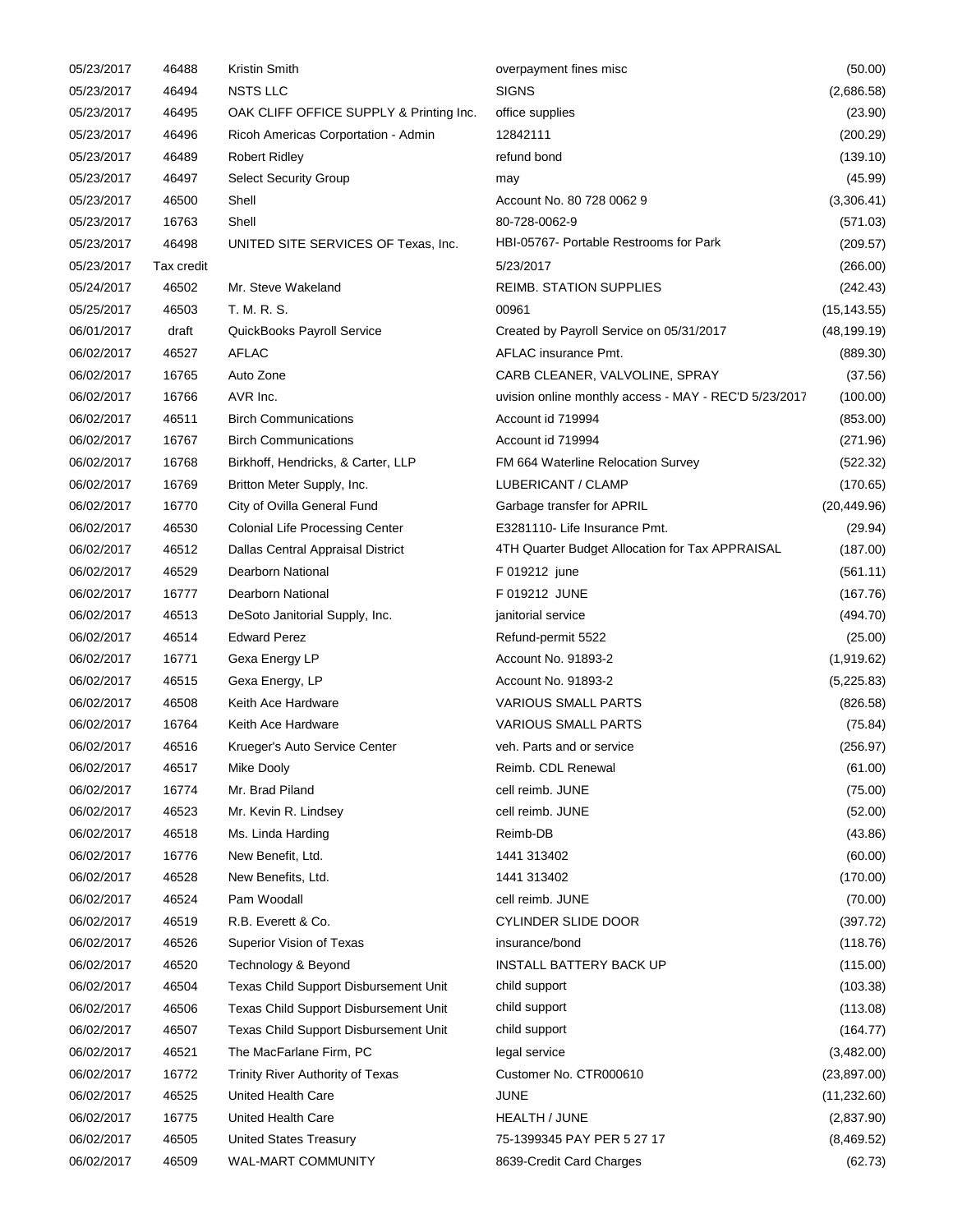| 05/23/2017 | 46488      | Kristin Smith                           | overpayment fines misc                                | (50.00)      |
|------------|------------|-----------------------------------------|-------------------------------------------------------|--------------|
| 05/23/2017 | 46494      | <b>NSTS LLC</b>                         | <b>SIGNS</b>                                          | (2,686.58)   |
| 05/23/2017 | 46495      | OAK CLIFF OFFICE SUPPLY & Printing Inc. | office supplies                                       | (23.90)      |
| 05/23/2017 | 46496      | Ricoh Americas Corportation - Admin     | 12842111                                              | (200.29)     |
| 05/23/2017 | 46489      | <b>Robert Ridley</b>                    | refund bond                                           | (139.10)     |
| 05/23/2017 | 46497      | <b>Select Security Group</b>            | may                                                   | (45.99)      |
| 05/23/2017 | 46500      | Shell                                   | Account No. 80 728 0062 9                             | (3,306.41)   |
| 05/23/2017 | 16763      | Shell                                   | 80-728-0062-9                                         | (571.03)     |
| 05/23/2017 | 46498      | UNITED SITE SERVICES OF Texas, Inc.     | HBI-05767- Portable Restrooms for Park                | (209.57)     |
| 05/23/2017 | Tax credit |                                         | 5/23/2017                                             | (266.00)     |
| 05/24/2017 | 46502      | Mr. Steve Wakeland                      | REIMB. STATION SUPPLIES                               | (242.43)     |
| 05/25/2017 | 46503      | T. M. R. S.                             | 00961                                                 | (15, 143.55) |
| 06/01/2017 | draft      | QuickBooks Payroll Service              | Created by Payroll Service on 05/31/2017              | (48, 199.19) |
| 06/02/2017 | 46527      | <b>AFLAC</b>                            | AFLAC insurance Pmt.                                  | (889.30)     |
| 06/02/2017 | 16765      | Auto Zone                               | CARB CLEANER, VALVOLINE, SPRAY                        | (37.56)      |
| 06/02/2017 | 16766      | AVR Inc.                                | uvision online monthly access - MAY - REC'D 5/23/2017 | (100.00)     |
| 06/02/2017 | 46511      | <b>Birch Communications</b>             | Account id 719994                                     | (853.00)     |
| 06/02/2017 | 16767      | <b>Birch Communications</b>             | Account id 719994                                     | (271.96)     |
| 06/02/2017 | 16768      | Birkhoff, Hendricks, & Carter, LLP      | FM 664 Waterline Relocation Survey                    | (522.32)     |
| 06/02/2017 | 16769      | Britton Meter Supply, Inc.              | LUBERICANT / CLAMP                                    | (170.65)     |
| 06/02/2017 | 16770      | City of Ovilla General Fund             | Garbage transfer for APRIL                            | (20, 449.96) |
| 06/02/2017 | 46530      | <b>Colonial Life Processing Center</b>  | E3281110- Life Insurance Pmt.                         | (29.94)      |
| 06/02/2017 | 46512      |                                         | 4TH Quarter Budget Allocation for Tax APPRAISAL       |              |
|            |            | Dallas Central Appraisal District       | F 019212 june                                         | (187.00)     |
| 06/02/2017 | 46529      | <b>Dearborn National</b>                |                                                       | (561.11)     |
| 06/02/2017 | 16777      | Dearborn National                       | F 019212 JUNE                                         | (167.76)     |
| 06/02/2017 | 46513      | DeSoto Janitorial Supply, Inc.          | janitorial service                                    | (494.70)     |
| 06/02/2017 | 46514      | <b>Edward Perez</b>                     | Refund-permit 5522                                    | (25.00)      |
| 06/02/2017 | 16771      | Gexa Energy LP                          | Account No. 91893-2                                   | (1,919.62)   |
| 06/02/2017 | 46515      | Gexa Energy, LP                         | Account No. 91893-2                                   | (5,225.83)   |
| 06/02/2017 | 46508      | Keith Ace Hardware                      | <b>VARIOUS SMALL PARTS</b>                            | (826.58)     |
| 06/02/2017 | 16764      | Keith Ace Hardware                      | <b>VARIOUS SMALL PARTS</b>                            | (75.84)      |
| 06/02/2017 | 46516      | Krueger's Auto Service Center           | veh. Parts and or service                             | (256.97)     |
| 06/02/2017 | 46517      | Mike Dooly                              | Reimb. CDL Renewal                                    | (61.00)      |
| 06/02/2017 | 16774      | Mr. Brad Piland                         | cell reimb. JUNE                                      | (75.00)      |
| 06/02/2017 | 46523      | Mr. Kevin R. Lindsey                    | cell reimb. JUNE                                      | (52.00)      |
| 06/02/2017 | 46518      | Ms. Linda Harding                       | Reimb-DB                                              | (43.86)      |
| 06/02/2017 | 16776      | New Benefit, Ltd.                       | 1441 313402                                           | (60.00)      |
| 06/02/2017 | 46528      | New Benefits, Ltd.                      | 1441 313402                                           | (170.00)     |
| 06/02/2017 | 46524      | Pam Woodall                             | cell reimb. JUNE                                      | (70.00)      |
| 06/02/2017 | 46519      | R.B. Everett & Co.                      | <b>CYLINDER SLIDE DOOR</b>                            | (397.72)     |
| 06/02/2017 | 46526      | Superior Vision of Texas                | insurance/bond                                        | (118.76)     |
| 06/02/2017 | 46520      | Technology & Beyond                     | INSTALL BATTERY BACK UP                               | (115.00)     |
| 06/02/2017 | 46504      | Texas Child Support Disbursement Unit   | child support                                         | (103.38)     |
| 06/02/2017 | 46506      | Texas Child Support Disbursement Unit   | child support                                         | (113.08)     |
| 06/02/2017 | 46507      | Texas Child Support Disbursement Unit   | child support                                         | (164.77)     |
| 06/02/2017 | 46521      | The MacFarlane Firm, PC                 | legal service                                         | (3,482.00)   |
| 06/02/2017 | 16772      | Trinity River Authority of Texas        | Customer No. CTR000610                                | (23, 897.00) |
| 06/02/2017 | 46525      | United Health Care                      | JUNE                                                  | (11, 232.60) |
| 06/02/2017 | 16775      | United Health Care                      | HEALTH / JUNE                                         | (2,837.90)   |
| 06/02/2017 | 46505      | <b>United States Treasury</b>           | 75-1399345 PAY PER 5 27 17                            | (8,469.52)   |
| 06/02/2017 | 46509      | WAL-MART COMMUNITY                      | 8639-Credit Card Charges                              | (62.73)      |
|            |            |                                         |                                                       |              |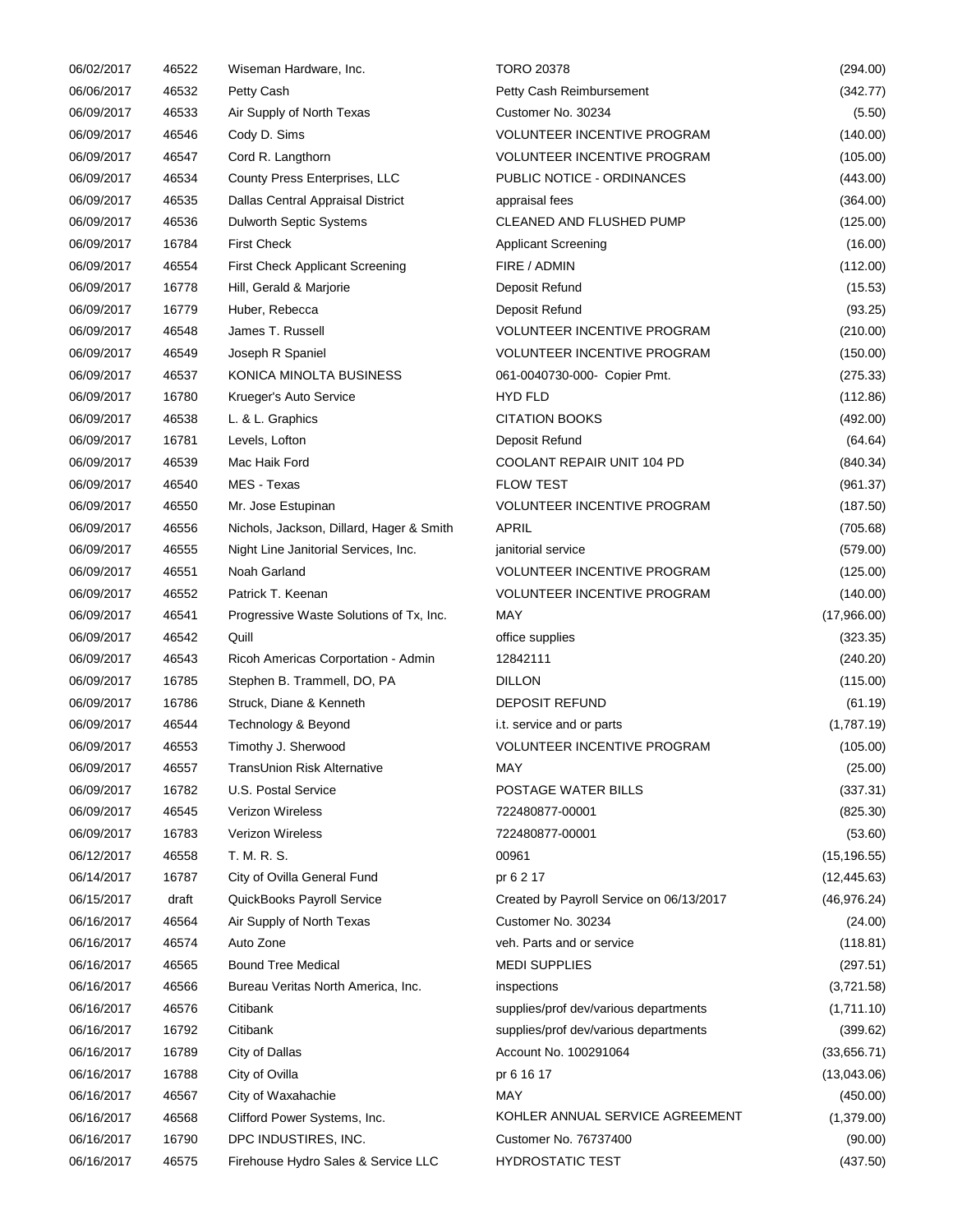| 06/02/2017 | 46522 | Wiseman Hardware, Inc.                   | <b>TORO 20378</b>                        | (294.00)     |
|------------|-------|------------------------------------------|------------------------------------------|--------------|
| 06/06/2017 | 46532 | Petty Cash                               | Petty Cash Reimbursement                 | (342.77)     |
| 06/09/2017 | 46533 | Air Supply of North Texas                | Customer No. 30234                       | (5.50)       |
| 06/09/2017 | 46546 | Cody D. Sims                             | <b>VOLUNTEER INCENTIVE PROGRAM</b>       | (140.00)     |
| 06/09/2017 | 46547 | Cord R. Langthorn                        | VOLUNTEER INCENTIVE PROGRAM              | (105.00)     |
| 06/09/2017 | 46534 | County Press Enterprises, LLC            | PUBLIC NOTICE - ORDINANCES               | (443.00)     |
| 06/09/2017 | 46535 | Dallas Central Appraisal District        | appraisal fees                           | (364.00)     |
| 06/09/2017 | 46536 | <b>Dulworth Septic Systems</b>           | CLEANED AND FLUSHED PUMP                 | (125.00)     |
| 06/09/2017 | 16784 | <b>First Check</b>                       | <b>Applicant Screening</b>               | (16.00)      |
| 06/09/2017 | 46554 | <b>First Check Applicant Screening</b>   | FIRE / ADMIN                             | (112.00)     |
| 06/09/2017 | 16778 | Hill, Gerald & Marjorie                  | Deposit Refund                           | (15.53)      |
| 06/09/2017 | 16779 | Huber, Rebecca                           | Deposit Refund                           | (93.25)      |
| 06/09/2017 | 46548 | James T. Russell                         | VOLUNTEER INCENTIVE PROGRAM              | (210.00)     |
| 06/09/2017 | 46549 | Joseph R Spaniel                         | <b>VOLUNTEER INCENTIVE PROGRAM</b>       | (150.00)     |
| 06/09/2017 | 46537 | KONICA MINOLTA BUSINESS                  | 061-0040730-000- Copier Pmt.             | (275.33)     |
| 06/09/2017 | 16780 | Krueger's Auto Service                   | <b>HYD FLD</b>                           | (112.86)     |
| 06/09/2017 | 46538 | L. & L. Graphics                         | <b>CITATION BOOKS</b>                    | (492.00)     |
| 06/09/2017 | 16781 | Levels, Lofton                           | Deposit Refund                           | (64.64)      |
| 06/09/2017 | 46539 | Mac Haik Ford                            | COOLANT REPAIR UNIT 104 PD               | (840.34)     |
| 06/09/2017 | 46540 | MES - Texas                              | <b>FLOW TEST</b>                         | (961.37)     |
|            |       |                                          | <b>VOLUNTEER INCENTIVE PROGRAM</b>       |              |
| 06/09/2017 | 46550 | Mr. Jose Estupinan                       |                                          | (187.50)     |
| 06/09/2017 | 46556 | Nichols, Jackson, Dillard, Hager & Smith | APRIL                                    | (705.68)     |
| 06/09/2017 | 46555 | Night Line Janitorial Services, Inc.     | janitorial service                       | (579.00)     |
| 06/09/2017 | 46551 | Noah Garland                             | <b>VOLUNTEER INCENTIVE PROGRAM</b>       | (125.00)     |
| 06/09/2017 | 46552 | Patrick T. Keenan                        | <b>VOLUNTEER INCENTIVE PROGRAM</b>       | (140.00)     |
| 06/09/2017 | 46541 | Progressive Waste Solutions of Tx, Inc.  | MAY                                      | (17,966.00)  |
| 06/09/2017 | 46542 | Quill                                    | office supplies                          | (323.35)     |
| 06/09/2017 | 46543 | Ricoh Americas Corportation - Admin      | 12842111                                 | (240.20)     |
| 06/09/2017 | 16785 | Stephen B. Trammell, DO, PA              | <b>DILLON</b>                            | (115.00)     |
| 06/09/2017 | 16786 | Struck, Diane & Kenneth                  | <b>DEPOSIT REFUND</b>                    | (61.19)      |
| 06/09/2017 | 46544 | Technology & Beyond                      | i.t. service and or parts                | (1,787.19)   |
| 06/09/2017 | 46553 | Timothy J. Sherwood                      | <b>VOLUNTEER INCENTIVE PROGRAM</b>       | (105.00)     |
| 06/09/2017 | 46557 | TransUnion Risk Alternative              | MAY                                      | (25.00)      |
| 06/09/2017 | 16782 | U.S. Postal Service                      | POSTAGE WATER BILLS                      | (337.31)     |
| 06/09/2017 | 46545 | <b>Verizon Wireless</b>                  | 722480877-00001                          | (825.30)     |
| 06/09/2017 | 16783 | Verizon Wireless                         | 722480877-00001                          | (53.60)      |
| 06/12/2017 | 46558 | T. M. R. S.                              | 00961                                    | (15, 196.55) |
| 06/14/2017 | 16787 | City of Ovilla General Fund              | pr 6 2 17                                | (12, 445.63) |
| 06/15/2017 | draft | QuickBooks Payroll Service               | Created by Payroll Service on 06/13/2017 | (46, 976.24) |
| 06/16/2017 | 46564 | Air Supply of North Texas                | Customer No. 30234                       | (24.00)      |
| 06/16/2017 | 46574 | Auto Zone                                | veh. Parts and or service                | (118.81)     |
| 06/16/2017 | 46565 | <b>Bound Tree Medical</b>                | <b>MEDI SUPPLIES</b>                     | (297.51)     |
| 06/16/2017 | 46566 | Bureau Veritas North America, Inc.       | inspections                              | (3,721.58)   |
| 06/16/2017 | 46576 | Citibank                                 | supplies/prof dev/various departments    | (1,711.10)   |
| 06/16/2017 | 16792 | Citibank                                 | supplies/prof dev/various departments    | (399.62)     |
| 06/16/2017 | 16789 | City of Dallas                           | Account No. 100291064                    | (33,656.71)  |
| 06/16/2017 | 16788 | City of Ovilla                           | pr 6 16 17                               | (13,043.06)  |
| 06/16/2017 | 46567 | City of Waxahachie                       | MAY                                      | (450.00)     |
| 06/16/2017 | 46568 | Clifford Power Systems, Inc.             | KOHLER ANNUAL SERVICE AGREEMENT          | (1,379.00)   |
| 06/16/2017 | 16790 | DPC INDUSTIRES, INC.                     | Customer No. 76737400                    | (90.00)      |
| 06/16/2017 | 46575 | Firehouse Hydro Sales & Service LLC      | <b>HYDROSTATIC TEST</b>                  | (437.50)     |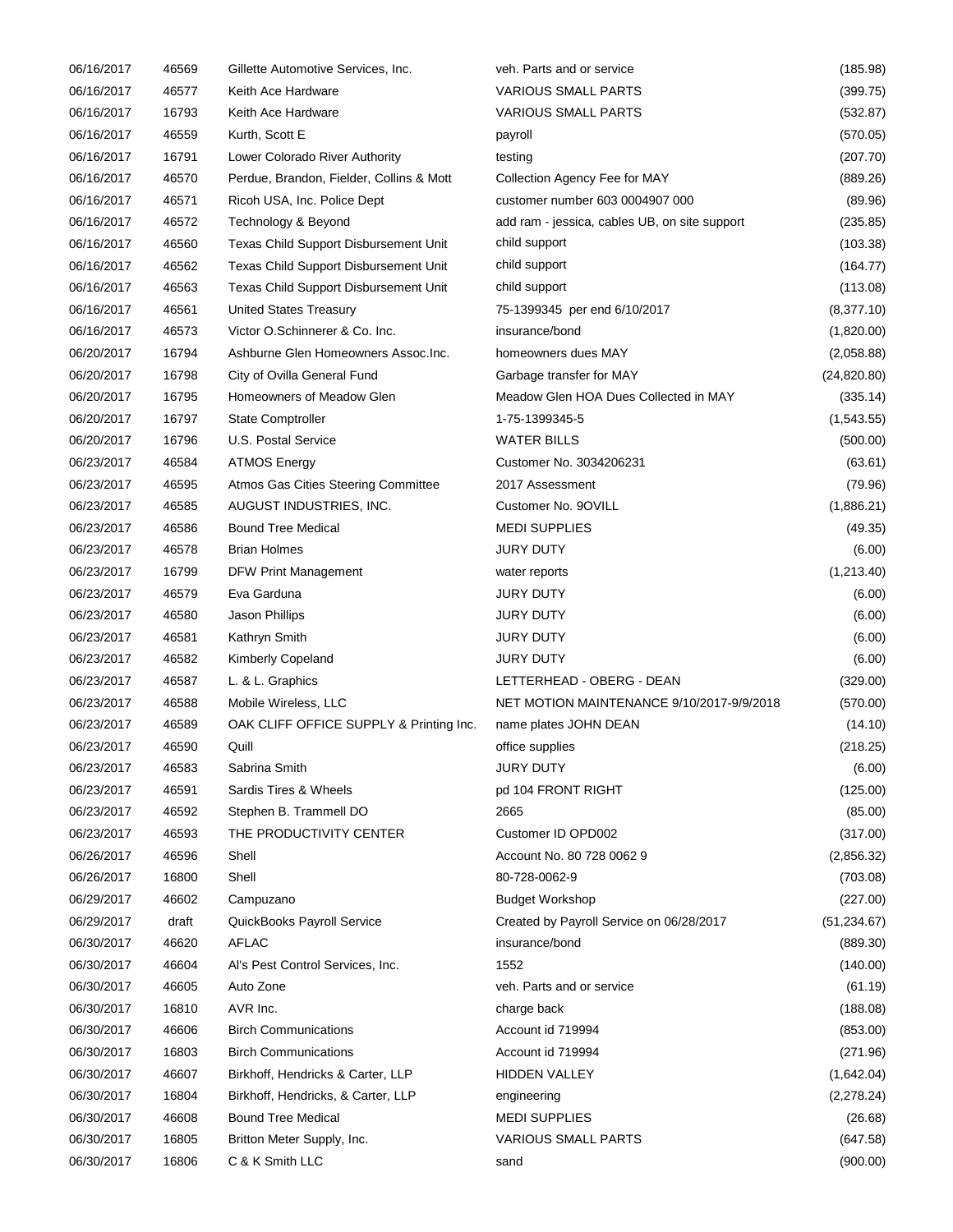| 06/16/2017 | 46569 | Gillette Automotive Services, Inc.                | veh. Parts and or service                     | (185.98)            |
|------------|-------|---------------------------------------------------|-----------------------------------------------|---------------------|
| 06/16/2017 | 46577 | Keith Ace Hardware                                | VARIOUS SMALL PARTS                           | (399.75)            |
| 06/16/2017 | 16793 | Keith Ace Hardware                                | <b>VARIOUS SMALL PARTS</b>                    | (532.87)            |
| 06/16/2017 | 46559 | Kurth, Scott E                                    | payroll                                       | (570.05)            |
| 06/16/2017 | 16791 | Lower Colorado River Authority                    | testing                                       | (207.70)            |
| 06/16/2017 | 46570 | Perdue, Brandon, Fielder, Collins & Mott          | Collection Agency Fee for MAY                 | (889.26)            |
| 06/16/2017 | 46571 | Ricoh USA, Inc. Police Dept                       | customer number 603 0004907 000               | (89.96)             |
| 06/16/2017 | 46572 | Technology & Beyond                               | add ram - jessica, cables UB, on site support | (235.85)            |
| 06/16/2017 | 46560 | Texas Child Support Disbursement Unit             | child support                                 | (103.38)            |
| 06/16/2017 | 46562 | Texas Child Support Disbursement Unit             | child support                                 | (164.77)            |
| 06/16/2017 | 46563 | Texas Child Support Disbursement Unit             | child support                                 | (113.08)            |
| 06/16/2017 | 46561 | <b>United States Treasury</b>                     | 75-1399345 per end 6/10/2017                  | (8,377.10)          |
| 06/16/2017 | 46573 | Victor O.Schinnerer & Co. Inc.                    | insurance/bond                                | (1,820.00)          |
| 06/20/2017 | 16794 | Ashburne Glen Homeowners Assoc.Inc.               | homeowners dues MAY                           | (2,058.88)          |
| 06/20/2017 | 16798 | City of Ovilla General Fund                       | Garbage transfer for MAY                      | (24, 820.80)        |
| 06/20/2017 | 16795 | Homeowners of Meadow Glen                         | Meadow Glen HOA Dues Collected in MAY         | (335.14)            |
| 06/20/2017 | 16797 | <b>State Comptroller</b>                          | 1-75-1399345-5                                | (1,543.55)          |
| 06/20/2017 | 16796 | U.S. Postal Service                               | <b>WATER BILLS</b>                            | (500.00)            |
| 06/23/2017 | 46584 | <b>ATMOS Energy</b>                               | Customer No. 3034206231                       | (63.61)             |
| 06/23/2017 | 46595 | Atmos Gas Cities Steering Committee               | 2017 Assessment                               | (79.96)             |
| 06/23/2017 | 46585 | AUGUST INDUSTRIES, INC.                           | Customer No. 9OVILL                           | (1,886.21)          |
| 06/23/2017 | 46586 | <b>Bound Tree Medical</b>                         | <b>MEDI SUPPLIES</b>                          | (49.35)             |
| 06/23/2017 | 46578 | <b>Brian Holmes</b>                               | <b>JURY DUTY</b>                              | (6.00)              |
| 06/23/2017 | 16799 | DFW Print Management                              | water reports                                 | (1,213.40)          |
| 06/23/2017 | 46579 | Eva Garduna                                       | <b>JURY DUTY</b>                              | (6.00)              |
| 06/23/2017 | 46580 | Jason Phillips                                    | <b>JURY DUTY</b>                              | (6.00)              |
| 06/23/2017 | 46581 | Kathryn Smith                                     | <b>JURY DUTY</b>                              | (6.00)              |
| 06/23/2017 | 46582 | <b>Kimberly Copeland</b>                          | JURY DUTY                                     | (6.00)              |
| 06/23/2017 | 46587 | L. & L. Graphics                                  | LETTERHEAD - OBERG - DEAN                     | (329.00)            |
| 06/23/2017 | 46588 | Mobile Wireless, LLC                              | NET MOTION MAINTENANCE 9/10/2017-9/9/2018     | (570.00)            |
| 06/23/2017 | 46589 | OAK CLIFF OFFICE SUPPLY & Printing Inc.           | name plates JOHN DEAN                         |                     |
| 06/23/2017 | 46590 | Quill                                             | office supplies                               | (14.10)<br>(218.25) |
| 06/23/2017 | 46583 | Sabrina Smith                                     | <b>JURY DUTY</b>                              |                     |
| 06/23/2017 | 46591 | Sardis Tires & Wheels                             |                                               | (6.00)              |
|            |       |                                                   | pd 104 FRONT RIGHT                            | (125.00)            |
| 06/23/2017 | 46592 | Stephen B. Trammell DO<br>THE PRODUCTIVITY CENTER | 2665                                          | (85.00)             |
| 06/23/2017 | 46593 |                                                   | Customer ID OPD002                            | (317.00)            |
| 06/26/2017 | 46596 | Shell                                             | Account No. 80 728 0062 9                     | (2,856.32)          |
| 06/26/2017 | 16800 | Shell                                             | 80-728-0062-9                                 | (703.08)            |
| 06/29/2017 | 46602 | Campuzano                                         | <b>Budget Workshop</b>                        | (227.00)            |
| 06/29/2017 | draft | QuickBooks Payroll Service                        | Created by Payroll Service on 06/28/2017      | (51, 234.67)        |
| 06/30/2017 | 46620 | <b>AFLAC</b>                                      | insurance/bond                                | (889.30)            |
| 06/30/2017 | 46604 | Al's Pest Control Services, Inc.                  | 1552                                          | (140.00)            |
| 06/30/2017 | 46605 | Auto Zone                                         | veh. Parts and or service                     | (61.19)             |
| 06/30/2017 | 16810 | AVR Inc.                                          | charge back                                   | (188.08)            |
| 06/30/2017 | 46606 | <b>Birch Communications</b>                       | Account id 719994                             | (853.00)            |
| 06/30/2017 | 16803 | <b>Birch Communications</b>                       | Account id 719994                             | (271.96)            |
| 06/30/2017 | 46607 | Birkhoff, Hendricks & Carter, LLP                 | <b>HIDDEN VALLEY</b>                          | (1,642.04)          |
| 06/30/2017 | 16804 | Birkhoff, Hendricks, & Carter, LLP                | engineering                                   | (2,278.24)          |
| 06/30/2017 | 46608 | <b>Bound Tree Medical</b>                         | <b>MEDI SUPPLIES</b>                          | (26.68)             |
| 06/30/2017 | 16805 | Britton Meter Supply, Inc.                        | <b>VARIOUS SMALL PARTS</b>                    | (647.58)            |
| 06/30/2017 | 16806 | C & K Smith LLC                                   | sand                                          | (900.00)            |